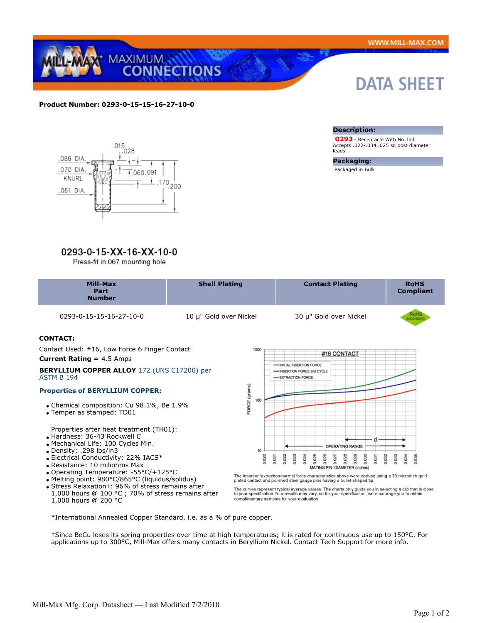

## **Product Number: 0293-0-15-15-16-27-10-0**



# 0293-0-15-XX-16-XX-10-0

Press-fit in.067 mounting hole

# **DATA SHEET**

#### **Description:**

 **0293** - Receptacle With No Tail Accepts .022-.034 .025 sq post diameter leads.

#### **Packaging:**

Packaged in Bulk

| Mill-Max<br>Part<br><b>Number</b>                                                         | <b>Shell Plating</b>   | <b>Contact Plating</b>                                                     | <b>RoHS</b><br><b>Compliant</b> |
|-------------------------------------------------------------------------------------------|------------------------|----------------------------------------------------------------------------|---------------------------------|
| 0293-0-15-15-16-27-10-0                                                                   | 10 µ" Gold over Nickel | 30 µ" Gold over Nickel                                                     | RoH<br>XX2/56                   |
| <b>CONTACT:</b>                                                                           |                        |                                                                            |                                 |
| Contact Used: #16, Low Force 6 Finger Contact<br>1000<br><b>Current Rating = 4.5 Amps</b> |                        | #16 CONTACT                                                                |                                 |
| <b>BERYLLIUM COPPER ALLOY 172 (UNS C17200) per</b><br><b>ASTM B 194</b>                   |                        | INITIAL INSERTION FORCE<br>-INSERTION FORCE 2nd CYCLE<br>-EXTRACTION FORCE |                                 |
| <b>Properties of BERYLLIUM COPPER:</b>                                                    |                        |                                                                            |                                 |
| • Chemical composition: Cu 98.1%, Be 1.9%                                                 | RCE (gr<br>100         |                                                                            |                                 |

Temper as stamped: TD01

Properties after heat treatment (TH01):

- Hardness: 36-43 Rockwell C
- Mechanical Life: 100 Cycles Min.
- Density: .298 lbs/in3
- Electrical Conductivity: 22% IACS\*
- Resistance: 10 miliohms Max
- Operating Temperature: -55°C/+125°C
- Melting point: 980°C/865°C (liquidus/solidus)
- Stress Relaxation†: 96% of stress remains after
- 1,000 hours @ 100 °C ; 70% of stress remains after 1,000 hours @ 200 °C

옾 d OPERATING RANGE  $10$ 8 8 5 8 8 9<br>
8 8 9 8 8 8<br>
6 8 8 8 8 8<br>
MATING PIN DIAMETER (inches) 0.020 0.022 0.023 0.024 0.032 0.033 0.034 0.035 0.031 0.021

The insertion/extraction/normal force characteristics above were derived using a 30 microinch gold plated contact and polished steel gauge pins having a bullet-shaped tip.

The curves represent typical average values. The charts only guide you in selecting a clip that is close<br>to your specification.Your results may vary, so for your specification, we encourage you to obtain<br>complimentary samp

\*International Annealed Copper Standard, i.e. as a % of pure copper.

†Since BeCu loses its spring properties over time at high temperatures; it is rated for continuous use up to 150°C. For applications up to 300°C, Mill-Max offers many contacts in Beryllium Nickel. Contact Tech Support for more info.